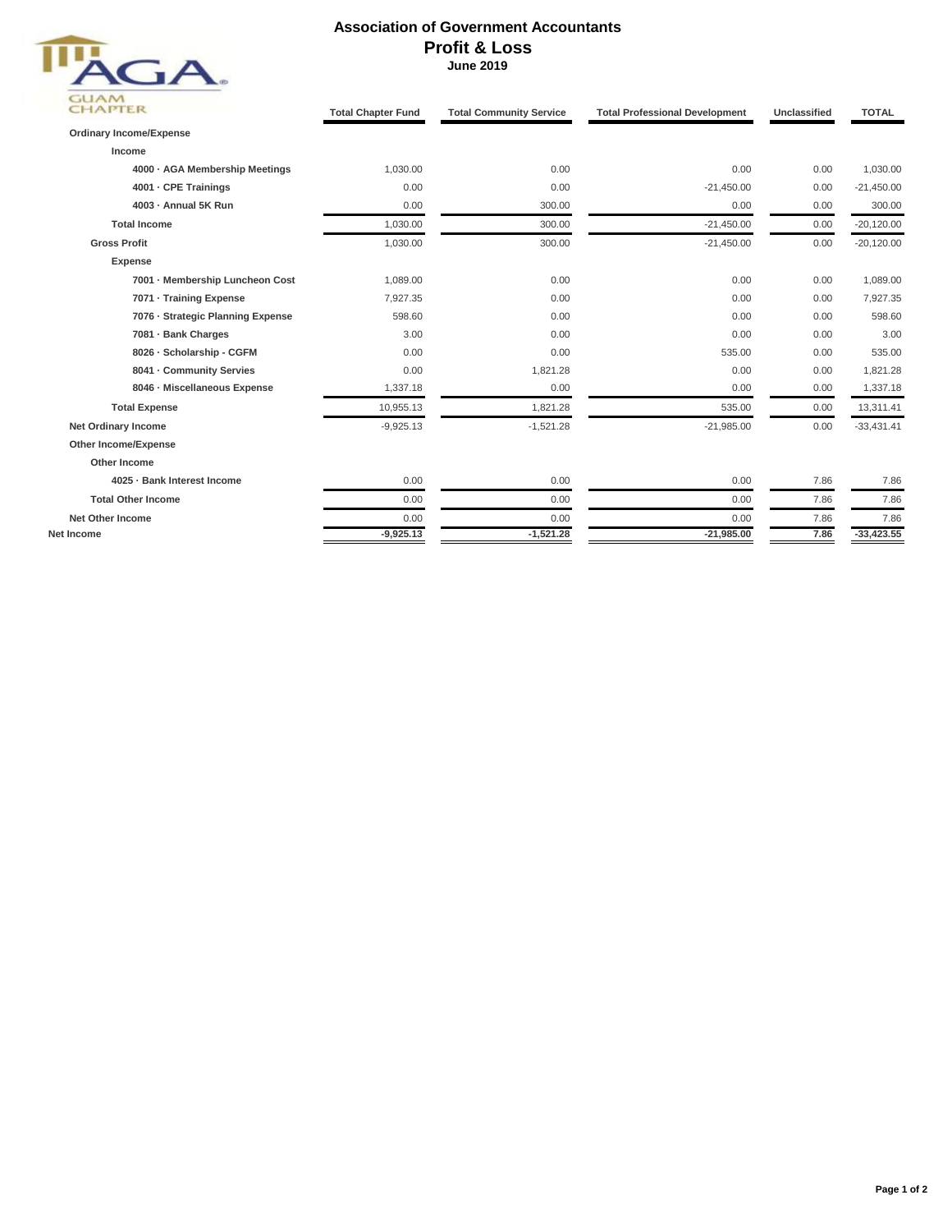

## **Association of Government Accountants Profit & Loss June 2019**

| <b>CHAPTER</b>                    | <b>Total Chapter Fund</b> | <b>Total Community Service</b> | <b>Total Professional Development</b> | Unclassified | <b>TOTAL</b> |
|-----------------------------------|---------------------------|--------------------------------|---------------------------------------|--------------|--------------|
| <b>Ordinary Income/Expense</b>    |                           |                                |                                       |              |              |
| Income                            |                           |                                |                                       |              |              |
| 4000 - AGA Membership Meetings    | 1,030.00                  | 0.00                           | 0.00                                  | 0.00         | 1,030.00     |
| 4001 - CPE Trainings              | 0.00                      | 0.00                           | $-21,450.00$                          | 0.00         | $-21,450.00$ |
| 4003 - Annual 5K Run              | 0.00                      | 300.00                         | 0.00                                  | 0.00         | 300.00       |
| <b>Total Income</b>               | 1,030.00                  | 300.00                         | $-21,450.00$                          | 0.00         | $-20,120.00$ |
| <b>Gross Profit</b>               | 1,030.00                  | 300.00                         | $-21,450.00$                          | 0.00         | $-20,120.00$ |
| <b>Expense</b>                    |                           |                                |                                       |              |              |
| 7001 - Membership Luncheon Cost   | 1,089.00                  | 0.00                           | 0.00                                  | 0.00         | 1,089.00     |
| 7071 · Training Expense           | 7,927.35                  | 0.00                           | 0.00                                  | 0.00         | 7,927.35     |
| 7076 - Strategic Planning Expense | 598.60                    | 0.00                           | 0.00                                  | 0.00         | 598.60       |
| 7081 - Bank Charges               | 3.00                      | 0.00                           | 0.00                                  | 0.00         | 3.00         |
| 8026 - Scholarship - CGFM         | 0.00                      | 0.00                           | 535.00                                | 0.00         | 535.00       |
| 8041 - Community Servies          | 0.00                      | 1,821.28                       | 0.00                                  | 0.00         | 1,821.28     |
| 8046 - Miscellaneous Expense      | 1,337.18                  | 0.00                           | 0.00                                  | 0.00         | 1,337.18     |
| <b>Total Expense</b>              | 10,955.13                 | 1,821.28                       | 535.00                                | 0.00         | 13,311.41    |
| Net Ordinary Income               | $-9,925.13$               | $-1,521.28$                    | $-21,985.00$                          | 0.00         | $-33,431.41$ |
| Other Income/Expense              |                           |                                |                                       |              |              |
| Other Income                      |                           |                                |                                       |              |              |
| 4025 · Bank Interest Income       | 0.00                      | 0.00                           | 0.00                                  | 7.86         | 7.86         |
| <b>Total Other Income</b>         | 0.00                      | 0.00                           | 0.00                                  | 7.86         | 7.86         |
| <b>Net Other Income</b>           | 0.00                      | 0.00                           | 0.00                                  | 7.86         | 7.86         |
| Net Income                        | $-9,925.13$               | $-1,521.28$                    | $-21,985.00$                          | 7.86         | $-33,423.55$ |